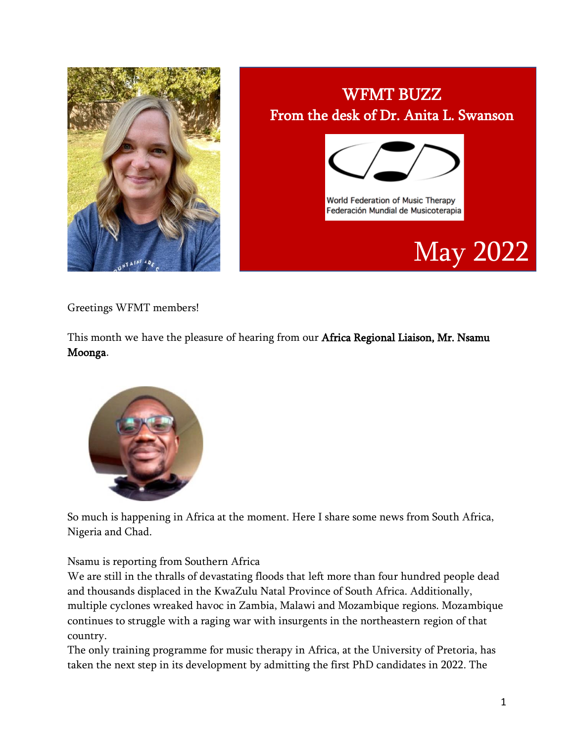

## WFMT BUZZ From the desk of Dr. Anita L. Swanson World Federation of Music Therapy Federación Mundial de Musicoterapia May 2022

Greetings WFMT members!

This month we have the pleasure of hearing from our Africa Regional Liaison, Mr. Nsamu Moonga.



So much is happening in Africa at the moment. Here I share some news from South Africa, Nigeria and Chad.

Nsamu is reporting from Southern Africa

We are still in the thralls of devastating floods that left more than four hundred people dead and thousands displaced in the KwaZulu Natal Province of South Africa. Additionally, multiple cyclones wreaked havoc in Zambia, Malawi and Mozambique regions. Mozambique continues to struggle with a raging war with insurgents in the northeastern region of that country.

The only training programme for music therapy in Africa, at the University of Pretoria, has taken the next step in its development by admitting the first PhD candidates in 2022. The